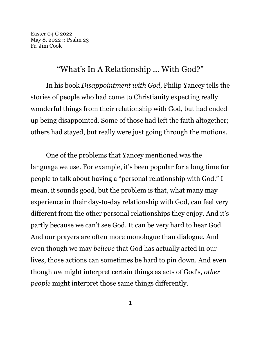Easter 04 C 2022 May 8, 2022 :: Psalm 23 Fr. Jim Cook

## "What's In A Relationship ... With God?"

In his book *Disappointment with God*, Philip Yancey tells the stories of people who had come to Christianity expecting really wonderful things from their relationship with God, but had ended up being disappointed. Some of those had left the faith altogether; others had stayed, but really were just going through the motions.

One of the problems that Yancey mentioned was the language we use. For example, it's been popular for a long time for people to talk about having a "personal relationship with God." I mean, it sounds good, but the problem is that, what many may experience in their day-to-day relationship with God, can feel very different from the other personal relationships they enjoy. And it's partly because we can't see God. It can be very hard to hear God. And our prayers are often more monologue than dialogue. And even though we may *believe* that God has actually acted in our lives, those actions can sometimes be hard to pin down. And even though *we* might interpret certain things as acts of God's, *other people* might interpret those same things differently.

1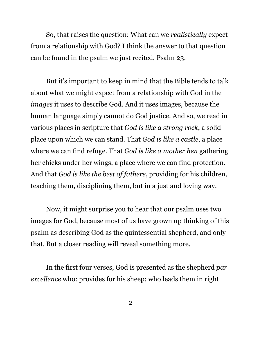So, that raises the question: What can we *realistically* expect from a relationship with God? I think the answer to that question can be found in the psalm we just recited, Psalm 23.

But it's important to keep in mind that the Bible tends to talk about what we might expect from a relationship with God in the *images* it uses to describe God. And it uses images, because the human language simply cannot do God justice. And so, we read in various places in scripture that *God is like a strong rock*, a solid place upon which we can stand. That *God is like a castle*, a place where we can find refuge. That *God is like a mother hen* gathering her chicks under her wings, a place where we can find protection. And that *God is like the best of fathers*, providing for his children, teaching them, disciplining them, but in a just and loving way.

Now, it might surprise you to hear that our psalm uses two images for God, because most of us have grown up thinking of this psalm as describing God as the quintessential shepherd, and only that. But a closer reading will reveal something more.

In the first four verses, God is presented as the shepherd *par excellence* who: provides for his sheep; who leads them in right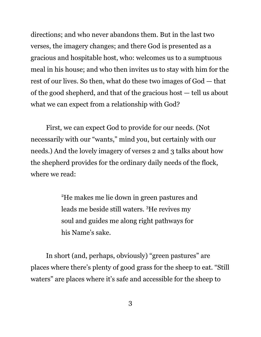directions; and who never abandons them. But in the last two verses, the imagery changes; and there God is presented as a gracious and hospitable host, who: welcomes us to a sumptuous meal in his house; and who then invites us to stay with him for the rest of our lives. So then, what do these two images of God — that of the good shepherd, and that of the gracious host — tell us about what we can expect from a relationship with God?

First, we can expect God to provide for our needs. (Not necessarily with our "wants," mind you, but certainly with our needs.) And the lovely imagery of verses 2 and 3 talks about how the shepherd provides for the ordinary daily needs of the flock, where we read:

> <sup>2</sup>He makes me lie down in green pastures and leads me beside still waters. <sup>3</sup>He revives my soul and guides me along right pathways for his Name's sake.

In short (and, perhaps, obviously) "green pastures" are places where there's plenty of good grass for the sheep to eat. "Still waters" are places where it's safe and accessible for the sheep to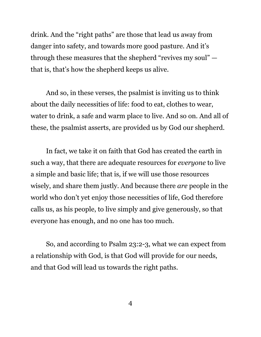drink. And the "right paths" are those that lead us away from danger into safety, and towards more good pasture. And it's through these measures that the shepherd "revives my soul" that is, that's how the shepherd keeps us alive.

And so, in these verses, the psalmist is inviting us to think about the daily necessities of life: food to eat, clothes to wear, water to drink, a safe and warm place to live. And so on. And all of these, the psalmist asserts, are provided us by God our shepherd.

In fact, we take it on faith that God has created the earth in such a way, that there are adequate resources for *everyone* to live a simple and basic life; that is, if we will use those resources wisely, and share them justly. And because there *are* people in the world who don't yet enjoy those necessities of life, God therefore calls us, as his people, to live simply and give generously, so that everyone has enough, and no one has too much.

So, and according to Psalm 23:2-3, what we can expect from a relationship with God, is that God will provide for our needs, and that God will lead us towards the right paths.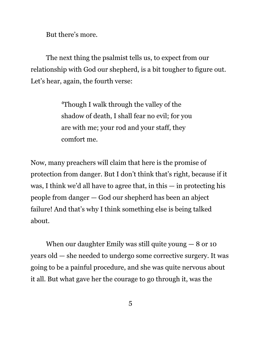But there's more.

The next thing the psalmist tells us, to expect from our relationship with God our shepherd, is a bit tougher to figure out. Let's hear, again, the fourth verse:

> <sup>4</sup>Though I walk through the valley of the shadow of death, I shall fear no evil; for you are with me; your rod and your staff, they comfort me.

Now, many preachers will claim that here is the promise of protection from danger. But I don't think that's right, because if it was, I think we'd all have to agree that, in this — in protecting his people from danger — God our shepherd has been an abject failure! And that's why I think something else is being talked about.

When our daughter Emily was still quite young  $-8$  or 10 years old — she needed to undergo some corrective surgery. It was going to be a painful procedure, and she was quite nervous about it all. But what gave her the courage to go through it, was the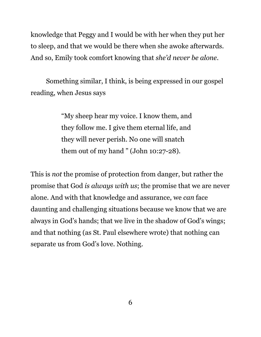knowledge that Peggy and I would be with her when they put her to sleep, and that we would be there when she awoke afterwards. And so, Emily took comfort knowing that *she'd never be alone*.

Something similar, I think, is being expressed in our gospel reading, when Jesus says

> "My sheep hear my voice. I know them, and they follow me. I give them eternal life, and they will never perish. No one will snatch them out of my hand " (John 10:27-28).

This is *not* the promise of protection from danger, but rather the promise that God *is always with us*; the promise that we are never alone. And with that knowledge and assurance, we *can* face daunting and challenging situations because we know that we are always in God's hands; that we live in the shadow of God's wings; and that nothing (as St. Paul elsewhere wrote) that nothing can separate us from God's love. Nothing.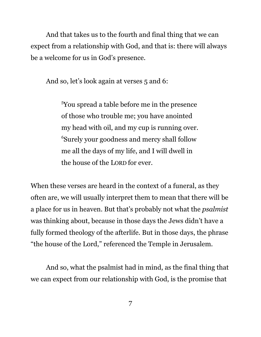And that takes us to the fourth and final thing that we can expect from a relationship with God, and that is: there will always be a welcome for us in God's presence.

And so, let's look again at verses 5 and 6:

<sup>5</sup>You spread a table before me in the presence of those who trouble me; you have anointed my head with oil, and my cup is running over.  $^6$ Surely your goodness and mercy shall follow me all the days of my life, and I will dwell in the house of the LORD for ever.

When these verses are heard in the context of a funeral, as they often are, we will usually interpret them to mean that there will be a place for us in heaven. But that's probably not what the *psalmist* was thinking about, because in those days the Jews didn't have a fully formed theology of the afterlife. But in those days, the phrase "the house of the Lord," referenced the Temple in Jerusalem.

And so, what the psalmist had in mind, as the final thing that we can expect from our relationship with God, is the promise that